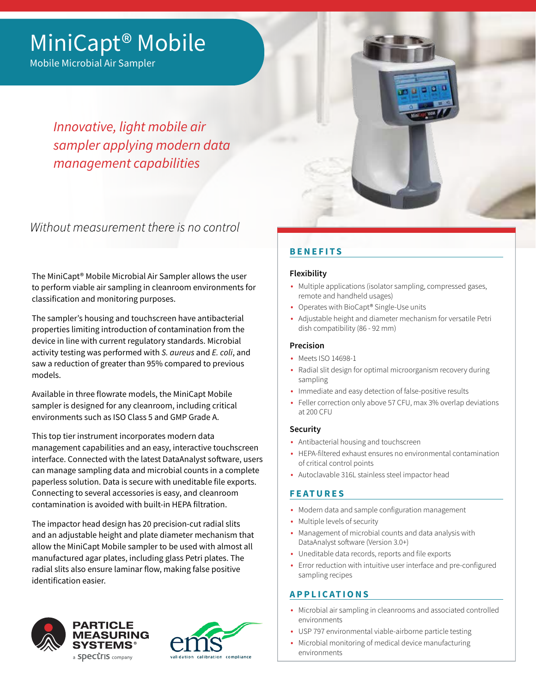# MiniCapt® Mobile

Mobile Microbial Air Sampler

*Innovative, light mobile air sampler applying modern data management capabilities*

Without measurement there is no control

The MiniCapt® Mobile Microbial Air Sampler allows the user to perform viable air sampling in cleanroom environments for classification and monitoring purposes.

The sampler's housing and touchscreen have antibacterial properties limiting introduction of contamination from the device in line with current regulatory standards. Microbial activity testing was performed with *S. aureus* and *E. coli*, and saw a reduction of greater than 95% compared to previous models.

Available in three flowrate models, the MiniCapt Mobile sampler is designed for any cleanroom, including critical environments such as ISO Class 5 and GMP Grade A.

This top tier instrument incorporates modern data management capabilities and an easy, interactive touchscreen interface. Connected with the latest DataAnalyst software, users can manage sampling data and microbial counts in a complete paperless solution. Data is secure with uneditable file exports. Connecting to several accessories is easy, and cleanroom contamination is avoided with built-in HEPA filtration.

The impactor head design has 20 precision-cut radial slits and an adjustable height and plate diameter mechanism that allow the MiniCapt Mobile sampler to be used with almost all manufactured agar plates, including glass Petri plates. The radial slits also ensure laminar flow, making false positive identification easier.





# **BENEFITS**

# **Flexibility**

- Multiple applications (isolator sampling, compressed gases, remote and handheld usages)
- Operates with BioCapt® Single-Use units
- Adjustable height and diameter mechanism for versatile Petri dish compatibility (86 - 92 mm)

## **Precision**

- Meets ISO 14698-1
- Radial slit design for optimal microorganism recovery during sampling
- Immediate and easy detection of false-positive results
- Feller correction only above 57 CFU, max 3% overlap deviations at 200 CFU

# **Security**

- Antibacterial housing and touchscreen
- HEPA-filtered exhaust ensures no environmental contamination of critical control points
- Autoclavable 316L stainless steel impactor head

# **FEATURES**

- Modern data and sample configuration management
- Multiple levels of security
- Management of microbial counts and data analysis with DataAnalyst software (Version 3.0+)
- Uneditable data records, reports and file exports
- Error reduction with intuitive user interface and pre-configured sampling recipes

# **APPLICATIONS**

- Microbial air sampling in cleanrooms and associated controlled environments
- USP 797 environmental viable-airborne particle testing
- Microbial monitoring of medical device manufacturing environments